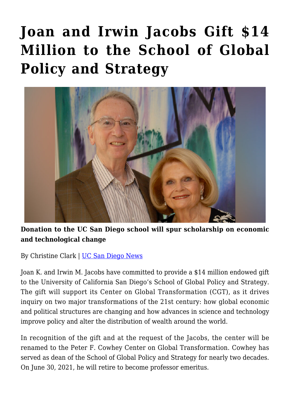## **[Joan and Irwin Jacobs Gift \\$14](https://gpsnews.ucsd.edu/joan-and-irwin-jacobs-gift-14-million-to-the-school-of-global-policy-and-strategy/) [Million to the School of Global](https://gpsnews.ucsd.edu/joan-and-irwin-jacobs-gift-14-million-to-the-school-of-global-policy-and-strategy/) [Policy and Strategy](https://gpsnews.ucsd.edu/joan-and-irwin-jacobs-gift-14-million-to-the-school-of-global-policy-and-strategy/)**



**Donation to the UC San Diego school will spur scholarship on economic and technological change**

By Christine Clark | [UC San Diego News](https://ucsdnews.ucsd.edu/pressrelease/joan-and-irwin-jacobs-gift-14-million-to-the-school-of-global-policy-and-strategy)

Joan K. and Irwin M. Jacobs have committed to provide a \$14 million endowed gift to the University of California San Diego's School of Global Policy and Strategy. The gift will support its Center on Global Transformation (CGT), as it drives inquiry on two major transformations of the 21st century: how global economic and political structures are changing and how advances in science and technology improve policy and alter the distribution of wealth around the world.

In recognition of the gift and at the request of the Jacobs, the center will be renamed to the Peter F. Cowhey Center on Global Transformation. Cowhey has served as dean of the School of Global Policy and Strategy for nearly two decades. On June 30, 2021, he will retire to become professor emeritus.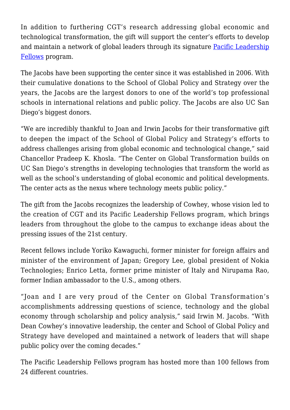In addition to furthering CGT's research addressing global economic and technological transformation, the gift will support the center's efforts to develop and maintain a network of global leaders through its signature [Pacific Leadership](file://ad/ucpa/cclark/2021/4.12.21/Pacific%20Leadership%20Fellows%20program) [Fellows](file://ad/ucpa/cclark/2021/4.12.21/Pacific%20Leadership%20Fellows%20program) program.

The Jacobs have been supporting the center since it was established in 2006. With their cumulative donations to the School of Global Policy and Strategy over the years, the Jacobs are the largest donors to one of the world's top professional schools in international relations and public policy. The Jacobs are also UC San Diego's biggest donors.

"We are incredibly thankful to Joan and Irwin Jacobs for their transformative gift to deepen the impact of the School of Global Policy and Strategy's efforts to address challenges arising from global economic and technological change," said Chancellor Pradeep K. Khosla. "The Center on Global Transformation builds on UC San Diego's strengths in developing technologies that transform the world as well as the school's understanding of global economic and political developments. The center acts as the nexus where technology meets public policy."

The gift from the Jacobs recognizes the leadership of Cowhey, whose vision led to the creation of CGT and its Pacific Leadership Fellows program, which brings leaders from throughout the globe to the campus to exchange ideas about the pressing issues of the 21st century.

Recent fellows include Yoriko Kawaguchi, former minister for foreign affairs and minister of the environment of Japan; Gregory Lee, global president of Nokia Technologies; Enrico Letta, former prime minister of Italy and Nirupama Rao, former Indian ambassador to the U.S., among others.

"Joan and I are very proud of the Center on Global Transformation's accomplishments addressing questions of science, technology and the global economy through scholarship and policy analysis," said Irwin M. Jacobs. "With Dean Cowhey's innovative leadership, the center and School of Global Policy and Strategy have developed and maintained a network of leaders that will shape public policy over the coming decades."

The Pacific Leadership Fellows program has hosted more than 100 fellows from 24 different countries.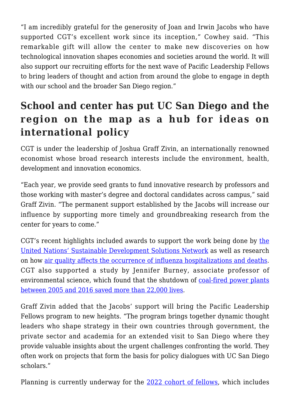"I am incredibly grateful for the generosity of Joan and Irwin Jacobs who have supported CGT's excellent work since its inception," Cowhey said. "This remarkable gift will allow the center to make new discoveries on how technological innovation shapes economies and societies around the world. It will also support our recruiting efforts for the next wave of Pacific Leadership Fellows to bring leaders of thought and action from around the globe to engage in depth with our school and the broader San Diego region."

## **School and center has put UC San Diego and the region on the map as a hub for ideas on international policy**

CGT is under the leadership of Joshua Graff Zivin, an internationally renowned economist whose broad research interests include the environment, health, development and innovation economics.

"Each year, we provide seed grants to fund innovative research by professors and those working with master's degree and doctoral candidates across campus," said Graff Zivin. "The permanent support established by the Jacobs will increase our influence by supporting more timely and groundbreaking research from the center for years to come."

CGT's recent highlights included awards to support [the](https://gpsnews.ucsd.edu/hitting-the-ground-running-on-sustainable-policy/) work being done by the [United Nations' Sustainable Development Solutions Network](https://gpsnews.ucsd.edu/hitting-the-ground-running-on-sustainable-policy/) as well as research on how [air quality affects the occurrence of influenza hospitalizations and deaths.](https://www.nber.org/papers/w27982) CGT also supported a study by Jennifer Burney, associate professor of environmental science, which found that the shutdown of [coal-fired power plants](https://ucsdnews.ucsd.edu/pressrelease/shutdown-of-coal-fired-plants-in-u.s-saves-lives-and-improves-crop-yields) [between 2005 and 2016 saved more than 22,000 lives.](https://ucsdnews.ucsd.edu/pressrelease/shutdown-of-coal-fired-plants-in-u.s-saves-lives-and-improves-crop-yields)

Graff Zivin added that the Jacobs' support will bring the Pacific Leadership Fellows program to new heights. "The program brings together dynamic thought leaders who shape strategy in their own countries through government, the private sector and academia for an extended visit to San Diego where they provide valuable insights about the urgent challenges confronting the world. They often work on projects that form the basis for policy dialogues with UC San Diego scholars."

Planning is currently underway for the [2022 cohort of fellows](https://cgt.ucsd.edu/fellows/upcoming/index.html), which includes